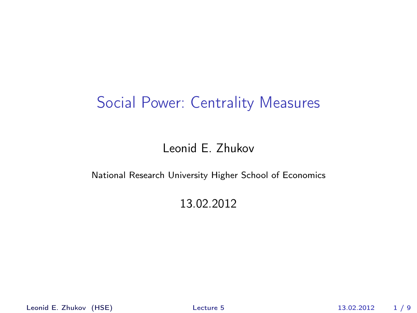#### Social Power: Centrality Measures

#### Leonid E. Zhukov

#### National Research University Higher School of Economics

#### <span id="page-0-0"></span>13.02.2012

Leonid E. Zhukov (HSE) [Lecture 5](#page-8-0) 13.02.2012 1 / 9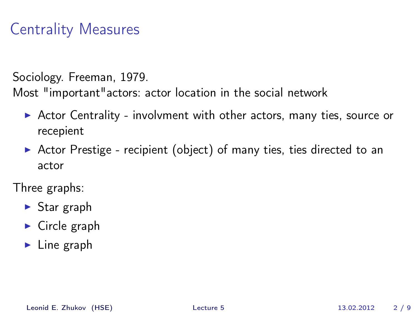Sociology. Freeman, 1979.

Most "important"actors: actor location in the social network

- $\triangleright$  Actor Centrality involvment with other actors, many ties, source or recepient
- $\triangleright$  Actor Prestige recipient (object) of many ties, ties directed to an actor

Three graphs:

- $\triangleright$  Star graph
- $\blacktriangleright$  Circle graph
- $\blacktriangleright$  Line graph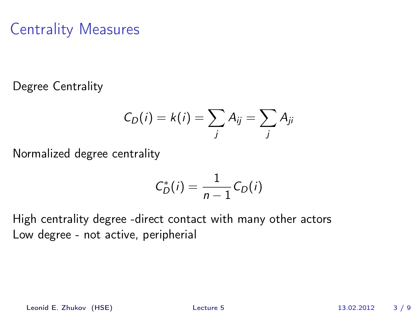Degree Centrality

$$
C_D(i) = k(i) = \sum_j A_{ij} = \sum_j A_{ji}
$$

Normalized degree centrality

$$
C_D^*(i) = \frac{1}{n-1}C_D(i)
$$

High centrality degree -direct contact with many other actors Low degree - not active, peripherial

Leonid E. Zhukov (HSE) [Lecture 5](#page-0-0) 13.02.2012 3 / 9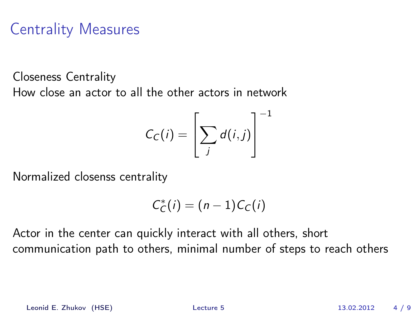Closeness Centrality How close an actor to all the other actors in network

$$
C_C(i) = \left[\sum_j d(i,j)\right]^{-1}
$$

Normalized closenss centrality

$$
C_C^*(i)=(n-1)C_C(i)
$$

Actor in the center can quickly interact with all others, short communication path to others, minimal number of steps to reach others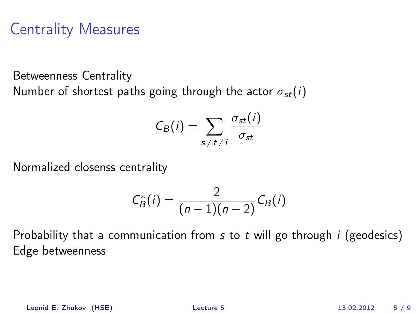Betweenness Centrality Number of shortest paths going through the actor  $\sigma_{st}(i)$ 

$$
C_B(i) = \sum_{s \neq t \neq i} \frac{\sigma_{st}(i)}{\sigma_{st}}
$$

Normalized closenss centrality

$$
C_B^*(i) = \frac{2}{(n-1)(n-2)} C_B(i)
$$

Probability that a communication from  $s$  to  $t$  will go through  $i$  (geodesics) Edge betweenness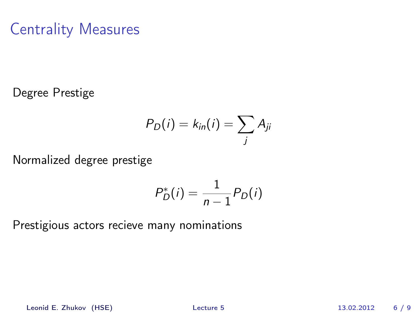Degree Prestige

$$
P_D(i) = k_{in}(i) = \sum_j A_{ji}
$$

Normalized degree prestige

$$
P_D^*(i) = \frac{1}{n-1} P_D(i)
$$

Prestigious actors recieve many nominations

Leonid E. Zhukov (HSE) [Lecture 5](#page-0-0) 13.02.2012 6 / 9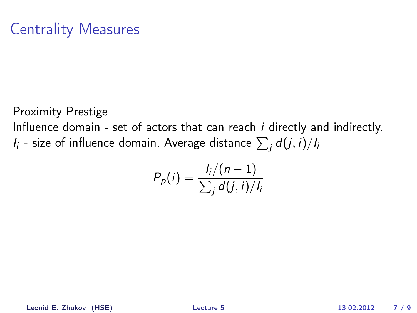Proximity Prestige

Influence domain - set of actors that can reach i directly and indirectly.  $I_i$  - size of influence domain. Average distance  $\sum_j d(j,i)/I_i$ 

$$
P_p(i) = \frac{I_i/(n-1)}{\sum_j d(j,i)/I_i}
$$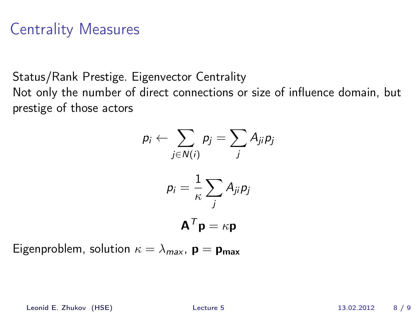Status/Rank Prestige. Eigenvector Centrality

Not only the number of direct connections or size of influence domain, but prestige of those actors

$$
p_i \leftarrow \sum_{j \in N(i)} p_j = \sum_j A_{ji} p_j
$$

$$
p_i = \frac{1}{\kappa} \sum_j A_{ji} p_j
$$

$$
\mathbf{A}^T \mathbf{p} = \kappa \mathbf{p}
$$

Eigenproblem, solution  $\kappa = \lambda_{max}$ ,  $\mathbf{p} = \mathbf{p}_{max}$ 

Leonid E. Zhukov (HSE) [Lecture 5](#page-0-0) 13.02.2012 8 / 9